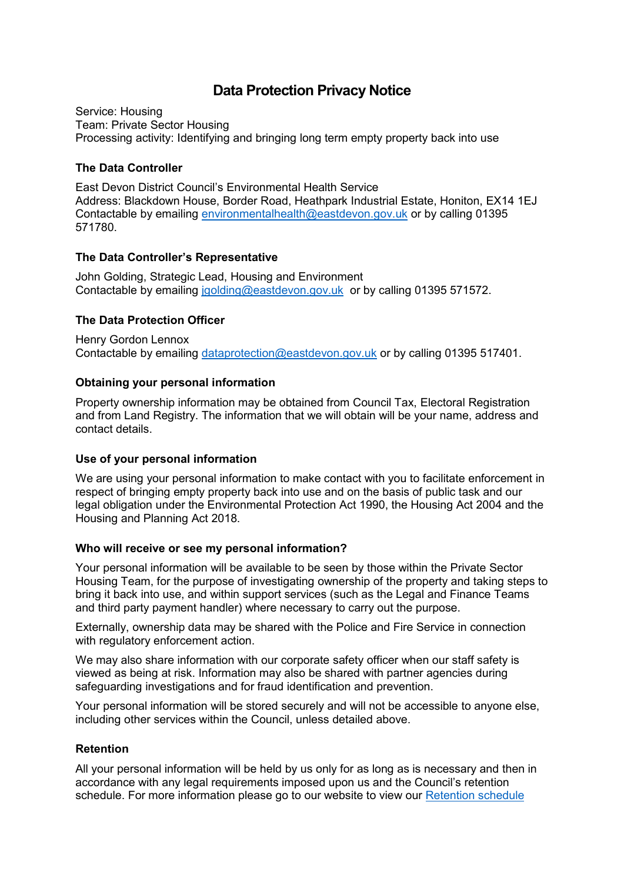# **Data Protection Privacy Notice**

Service: Housing Team: Private Sector Housing Processing activity: Identifying and bringing long term empty property back into use

## **The Data Controller**

East Devon District Council's Environmental Health Service Address: Blackdown House, Border Road, Heathpark Industrial Estate, Honiton, EX14 1EJ Contactable by emailing [environmentalhealth@eastdevon.gov.uk](mailto:environmentalhealth@eastdevon.gov.uk) or by calling 01395 571780.

# **The Data Controller's Representative**

John Golding, Strategic Lead, Housing and Environment Contactable by emailing [jgolding@eastdevon.gov.uk](mailto:jgolding@eastdevon.gov.uk) or by calling 01395 571572.

# **The Data Protection Officer**

Henry Gordon Lennox Contactable by emailing [dataprotection@eastdevon.gov.uk](mailto:dataprotection@eastdevon.gov.uk) or by calling 01395 517401.

### **Obtaining your personal information**

Property ownership information may be obtained from Council Tax, Electoral Registration and from Land Registry. The information that we will obtain will be your name, address and contact details.

### **Use of your personal information**

We are using your personal information to make contact with you to facilitate enforcement in respect of bringing empty property back into use and on the basis of public task and our legal obligation under the Environmental Protection Act 1990, the Housing Act 2004 and the Housing and Planning Act 2018.

### **Who will receive or see my personal information?**

Your personal information will be available to be seen by those within the Private Sector Housing Team, for the purpose of investigating ownership of the property and taking steps to bring it back into use, and within support services (such as the Legal and Finance Teams and third party payment handler) where necessary to carry out the purpose.

Externally, ownership data may be shared with the Police and Fire Service in connection with regulatory enforcement action.

We may also share information with our corporate safety officer when our staff safety is viewed as being at risk. Information may also be shared with partner agencies during safeguarding investigations and for fraud identification and prevention.

Your personal information will be stored securely and will not be accessible to anyone else, including other services within the Council, unless detailed above.

### **Retention**

All your personal information will be held by us only for as long as is necessary and then in accordance with any legal requirements imposed upon us and the Council's retention schedule. For more information please go to our website to view our [Retention schedule](http://eastdevon.gov.uk/access-to-information/data-protection/document-retention-schedules/)